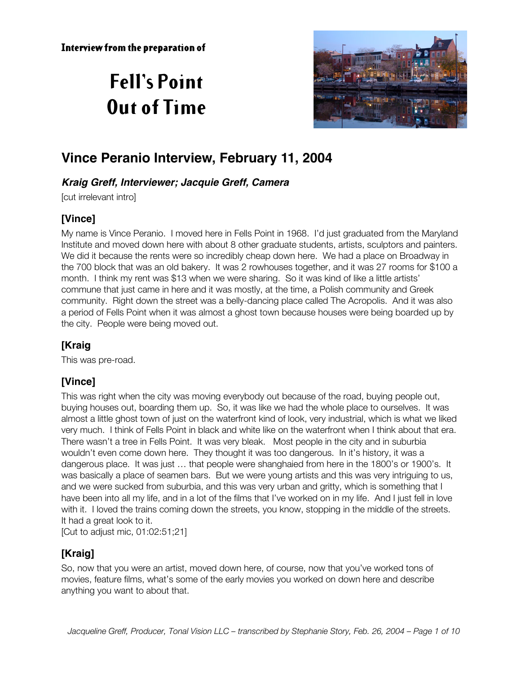# **Fell's Point Out of Time**



# **Vince Peranio Interview, February 11, 2004**

## **Kraig Greff, Interviewer; Jacquie Greff, Camera**

[cut irrelevant intro]

# **[Vince]**

My name is Vince Peranio. I moved here in Fells Point in 1968. I'd just graduated from the Maryland Institute and moved down here with about 8 other graduate students, artists, sculptors and painters. We did it because the rents were so incredibly cheap down here. We had a place on Broadway in the 700 block that was an old bakery. It was 2 rowhouses together, and it was 27 rooms for \$100 a month. I think my rent was \$13 when we were sharing. So it was kind of like a little artists' commune that just came in here and it was mostly, at the time, a Polish community and Greek community. Right down the street was a belly-dancing place called The Acropolis. And it was also a period of Fells Point when it was almost a ghost town because houses were being boarded up by the city. People were being moved out.

# **[Kraig**

This was pre-road.

# **[Vince]**

This was right when the city was moving everybody out because of the road, buying people out, buying houses out, boarding them up. So, it was like we had the whole place to ourselves. It was almost a little ghost town of just on the waterfront kind of look, very industrial, which is what we liked very much. I think of Fells Point in black and white like on the waterfront when I think about that era. There wasn't a tree in Fells Point. It was very bleak. Most people in the city and in suburbia wouldn't even come down here. They thought it was too dangerous. In it's history, it was a dangerous place. It was just … that people were shanghaied from here in the 1800's or 1900's. It was basically a place of seamen bars. But we were young artists and this was very intriguing to us, and we were sucked from suburbia, and this was very urban and gritty, which is something that I have been into all my life, and in a lot of the films that I've worked on in my life. And I just fell in love with it. I loved the trains coming down the streets, you know, stopping in the middle of the streets. It had a great look to it.

[Cut to adjust mic, 01:02:51;21]

# **[Kraig]**

So, now that you were an artist, moved down here, of course, now that you've worked tons of movies, feature films, what's some of the early movies you worked on down here and describe anything you want to about that.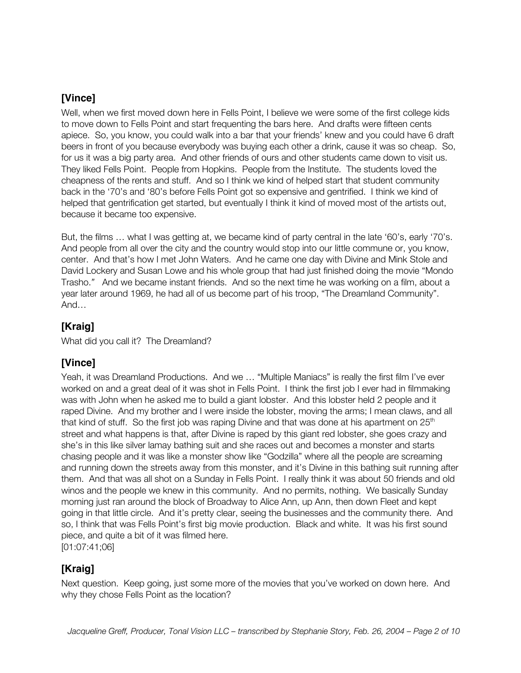Well, when we first moved down here in Fells Point, I believe we were some of the first college kids to move down to Fells Point and start frequenting the bars here. And drafts were fifteen cents apiece. So, you know, you could walk into a bar that your friends' knew and you could have 6 draft beers in front of you because everybody was buying each other a drink, cause it was so cheap. So, for us it was a big party area. And other friends of ours and other students came down to visit us. They liked Fells Point. People from Hopkins. People from the Institute. The students loved the cheapness of the rents and stuff. And so I think we kind of helped start that student community back in the '70's and '80's before Fells Point got so expensive and gentrified. I think we kind of helped that gentrification get started, but eventually I think it kind of moved most of the artists out, because it became too expensive.

But, the films … what I was getting at, we became kind of party central in the late '60's, early '70's. And people from all over the city and the country would stop into our little commune or, you know, center. And that's how I met John Waters. And he came one day with Divine and Mink Stole and David Lockery and Susan Lowe and his whole group that had just finished doing the movie "Mondo Trasho.*"* And we became instant friends. And so the next time he was working on a film, about a year later around 1969, he had all of us become part of his troop, "The Dreamland Community". And…

# **[Kraig]**

What did you call it? The Dreamland?

# **[Vince]**

Yeah, it was Dreamland Productions. And we … "Multiple Maniacs" is really the first film I've ever worked on and a great deal of it was shot in Fells Point. I think the first job I ever had in filmmaking was with John when he asked me to build a giant lobster. And this lobster held 2 people and it raped Divine. And my brother and I were inside the lobster, moving the arms; I mean claws, and all that kind of stuff. So the first job was raping Divine and that was done at his apartment on  $25<sup>th</sup>$ street and what happens is that, after Divine is raped by this giant red lobster, she goes crazy and she's in this like silver lamay bathing suit and she races out and becomes a monster and starts chasing people and it was like a monster show like "Godzilla" where all the people are screaming and running down the streets away from this monster, and it's Divine in this bathing suit running after them. And that was all shot on a Sunday in Fells Point. I really think it was about 50 friends and old winos and the people we knew in this community. And no permits, nothing. We basically Sunday morning just ran around the block of Broadway to Alice Ann, up Ann, then down Fleet and kept going in that little circle. And it's pretty clear, seeing the businesses and the community there. And so, I think that was Fells Point's first big movie production. Black and white. It was his first sound piece, and quite a bit of it was filmed here. [01:07:41;06]

## **[Kraig]**

Next question. Keep going, just some more of the movies that you've worked on down here. And why they chose Fells Point as the location?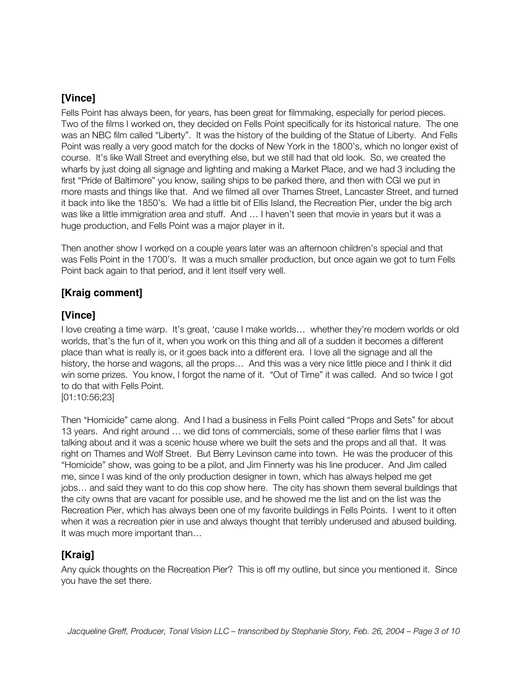Fells Point has always been, for years, has been great for filmmaking, especially for period pieces. Two of the films I worked on, they decided on Fells Point specifically for its historical nature. The one was an NBC film called "Liberty". It was the history of the building of the Statue of Liberty. And Fells Point was really a very good match for the docks of New York in the 1800's, which no longer exist of course. It's like Wall Street and everything else, but we still had that old look. So, we created the wharfs by just doing all signage and lighting and making a Market Place, and we had 3 including the first "Pride of Baltimore" you know, sailing ships to be parked there, and then with CGI we put in more masts and things like that. And we filmed all over Thames Street, Lancaster Street, and turned it back into like the 1850's. We had a little bit of Ellis Island, the Recreation Pier, under the big arch was like a little immigration area and stuff. And … I haven't seen that movie in years but it was a huge production, and Fells Point was a major player in it.

Then another show I worked on a couple years later was an afternoon children's special and that was Fells Point in the 1700's. It was a much smaller production, but once again we got to turn Fells Point back again to that period, and it lent itself very well.

### **[Kraig comment]**

## **[Vince]**

I love creating a time warp. It's great, 'cause I make worlds… whether they're modern worlds or old worlds, that's the fun of it, when you work on this thing and all of a sudden it becomes a different place than what is really is, or it goes back into a different era. I love all the signage and all the history, the horse and wagons, all the props… And this was a very nice little piece and I think it did win some prizes. You know, I forgot the name of it. "Out of Time" it was called. And so twice I got to do that with Fells Point.

[01:10:56;23]

Then "Homicide" came along. And I had a business in Fells Point called "Props and Sets" for about 13 years. And right around … we did tons of commercials, some of these earlier films that I was talking about and it was a scenic house where we built the sets and the props and all that. It was right on Thames and Wolf Street. But Berry Levinson came into town. He was the producer of this "Homicide" show, was going to be a pilot, and Jim Finnerty was his line producer. And Jim called me, since I was kind of the only production designer in town, which has always helped me get jobs… and said they want to do this cop show here. The city has shown them several buildings that the city owns that are vacant for possible use, and he showed me the list and on the list was the Recreation Pier, which has always been one of my favorite buildings in Fells Points. I went to it often when it was a recreation pier in use and always thought that terribly underused and abused building. It was much more important than…

## **[Kraig]**

Any quick thoughts on the Recreation Pier? This is off my outline, but since you mentioned it. Since you have the set there.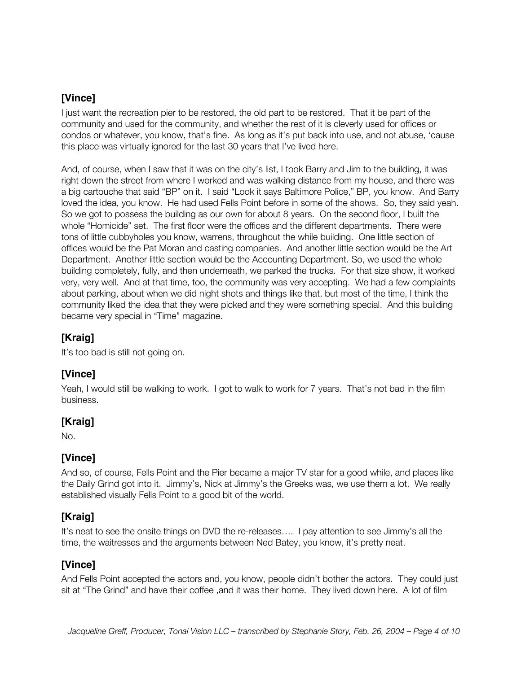I just want the recreation pier to be restored, the old part to be restored. That it be part of the community and used for the community, and whether the rest of it is cleverly used for offices or condos or whatever, you know, that's fine. As long as it's put back into use, and not abuse, 'cause this place was virtually ignored for the last 30 years that I've lived here.

And, of course, when I saw that it was on the city's list, I took Barry and Jim to the building, it was right down the street from where I worked and was walking distance from my house, and there was a big cartouche that said "BP" on it. I said "Look it says Baltimore Police," BP, you know. And Barry loved the idea, you know. He had used Fells Point before in some of the shows. So, they said yeah. So we got to possess the building as our own for about 8 years. On the second floor, I built the whole "Homicide" set. The first floor were the offices and the different departments. There were tons of little cubbyholes you know, warrens, throughout the while building. One little section of offices would be the Pat Moran and casting companies. And another little section would be the Art Department. Another little section would be the Accounting Department. So, we used the whole building completely, fully, and then underneath, we parked the trucks. For that size show, it worked very, very well. And at that time, too, the community was very accepting. We had a few complaints about parking, about when we did night shots and things like that, but most of the time, I think the community liked the idea that they were picked and they were something special. And this building became very special in "Time" magazine.

## **[Kraig]**

It's too bad is still not going on.

# **[Vince]**

Yeah, I would still be walking to work. I got to walk to work for 7 years. That's not bad in the film business.

#### **[Kraig]**

No.

## **[Vince]**

And so, of course, Fells Point and the Pier became a major TV star for a good while, and places like the Daily Grind got into it. Jimmy's, Nick at Jimmy's the Greeks was, we use them a lot. We really established visually Fells Point to a good bit of the world.

## **[Kraig]**

It's neat to see the onsite things on DVD the re-releases…. I pay attention to see Jimmy's all the time, the waitresses and the arguments between Ned Batey, you know, it's pretty neat.

# **[Vince]**

And Fells Point accepted the actors and, you know, people didn't bother the actors. They could just sit at "The Grind" and have their coffee ,and it was their home. They lived down here. A lot of film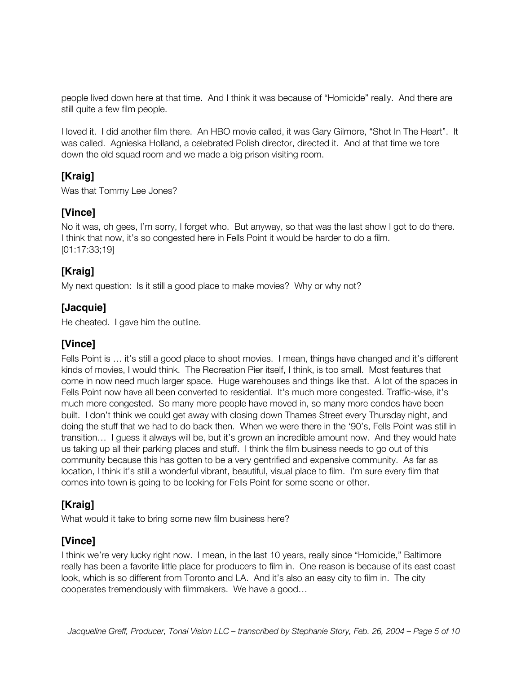people lived down here at that time. And I think it was because of "Homicide" really. And there are still quite a few film people.

I loved it. I did another film there. An HBO movie called, it was Gary Gilmore, "Shot In The Heart". It was called. Agnieska Holland, a celebrated Polish director, directed it. And at that time we tore down the old squad room and we made a big prison visiting room.

## **[Kraig]**

Was that Tommy Lee Jones?

# **[Vince]**

No it was, oh gees, I'm sorry, I forget who. But anyway, so that was the last show I got to do there. I think that now, it's so congested here in Fells Point it would be harder to do a film. [01:17:33;19]

# **[Kraig]**

My next question: Is it still a good place to make movies? Why or why not?

## **[Jacquie]**

He cheated. I gave him the outline.

# **[Vince]**

Fells Point is … it's still a good place to shoot movies. I mean, things have changed and it's different kinds of movies, I would think. The Recreation Pier itself, I think, is too small. Most features that come in now need much larger space. Huge warehouses and things like that. A lot of the spaces in Fells Point now have all been converted to residential. It's much more congested. Traffic-wise, it's much more congested. So many more people have moved in, so many more condos have been built. I don't think we could get away with closing down Thames Street every Thursday night, and doing the stuff that we had to do back then. When we were there in the '90's, Fells Point was still in transition… I guess it always will be, but it's grown an incredible amount now. And they would hate us taking up all their parking places and stuff. I think the film business needs to go out of this community because this has gotten to be a very gentrified and expensive community. As far as location, I think it's still a wonderful vibrant, beautiful, visual place to film. I'm sure every film that comes into town is going to be looking for Fells Point for some scene or other.

# **[Kraig]**

What would it take to bring some new film business here?

# **[Vince]**

I think we're very lucky right now. I mean, in the last 10 years, really since "Homicide," Baltimore really has been a favorite little place for producers to film in. One reason is because of its east coast look, which is so different from Toronto and LA. And it's also an easy city to film in. The city cooperates tremendously with filmmakers. We have a good…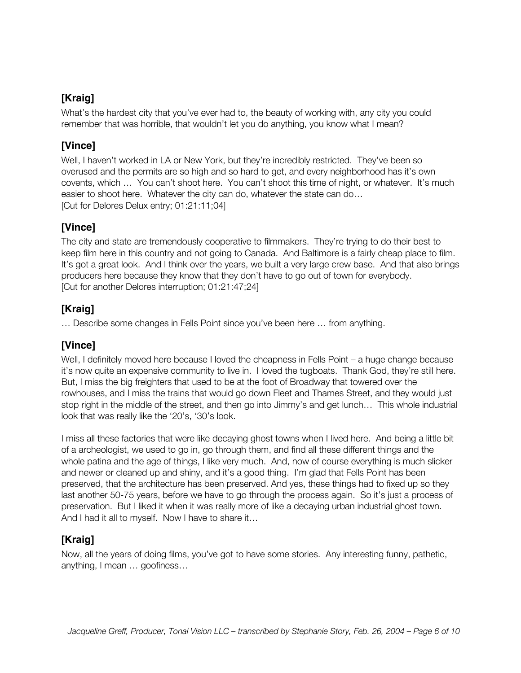# **[Kraig]**

What's the hardest city that you've ever had to, the beauty of working with, any city you could remember that was horrible, that wouldn't let you do anything, you know what I mean?

# **[Vince]**

Well, I haven't worked in LA or New York, but they're incredibly restricted. They've been so overused and the permits are so high and so hard to get, and every neighborhood has it's own covents, which … You can't shoot here. You can't shoot this time of night, or whatever. It's much easier to shoot here. Whatever the city can do, whatever the state can do… [Cut for Delores Delux entry; 01:21:11;04]

# **[Vince]**

The city and state are tremendously cooperative to filmmakers. They're trying to do their best to keep film here in this country and not going to Canada. And Baltimore is a fairly cheap place to film. It's got a great look. And I think over the years, we built a very large crew base. And that also brings producers here because they know that they don't have to go out of town for everybody. [Cut for another Delores interruption; 01:21:47;24]

# **[Kraig]**

… Describe some changes in Fells Point since you've been here … from anything.

# **[Vince]**

Well, I definitely moved here because I loved the cheapness in Fells Point – a huge change because it's now quite an expensive community to live in. I loved the tugboats. Thank God, they're still here. But, I miss the big freighters that used to be at the foot of Broadway that towered over the rowhouses, and I miss the trains that would go down Fleet and Thames Street, and they would just stop right in the middle of the street, and then go into Jimmy's and get lunch… This whole industrial look that was really like the '20's, '30's look.

I miss all these factories that were like decaying ghost towns when I lived here. And being a little bit of a archeologist, we used to go in, go through them, and find all these different things and the whole patina and the age of things, I like very much. And, now of course everything is much slicker and newer or cleaned up and shiny, and it's a good thing. I'm glad that Fells Point has been preserved, that the architecture has been preserved. And yes, these things had to fixed up so they last another 50-75 years, before we have to go through the process again. So it's just a process of preservation. But I liked it when it was really more of like a decaying urban industrial ghost town. And I had it all to myself. Now I have to share it…

# **[Kraig]**

Now, all the years of doing films, you've got to have some stories. Any interesting funny, pathetic, anything, I mean … goofiness…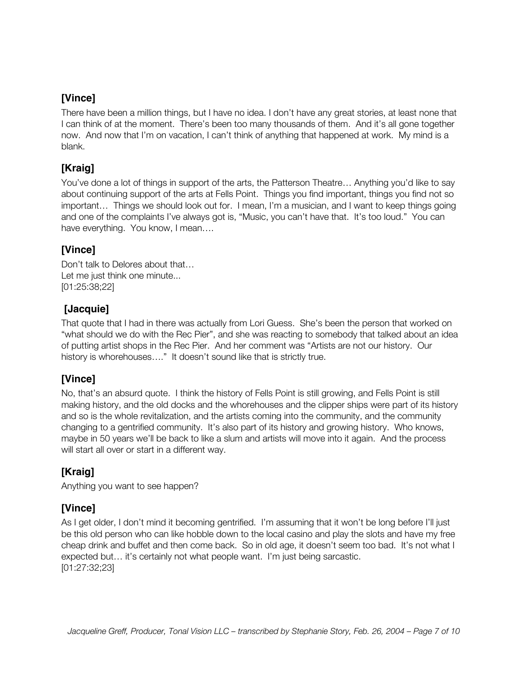There have been a million things, but I have no idea. I don't have any great stories, at least none that I can think of at the moment. There's been too many thousands of them. And it's all gone together now. And now that I'm on vacation, I can't think of anything that happened at work. My mind is a blank.

## **[Kraig]**

You've done a lot of things in support of the arts, the Patterson Theatre… Anything you'd like to say about continuing support of the arts at Fells Point. Things you find important, things you find not so important… Things we should look out for. I mean, I'm a musician, and I want to keep things going and one of the complaints I've always got is, "Music, you can't have that. It's too loud." You can have everything. You know, I mean….

## **[Vince]**

Don't talk to Delores about that… Let me just think one minute... [01:25:38;22]

## **[Jacquie]**

That quote that I had in there was actually from Lori Guess. She's been the person that worked on "what should we do with the Rec Pier", and she was reacting to somebody that talked about an idea of putting artist shops in the Rec Pier. And her comment was "Artists are not our history. Our history is whorehouses...." It doesn't sound like that is strictly true.

# **[Vince]**

No, that's an absurd quote. I think the history of Fells Point is still growing, and Fells Point is still making history, and the old docks and the whorehouses and the clipper ships were part of its history and so is the whole revitalization, and the artists coming into the community, and the community changing to a gentrified community. It's also part of its history and growing history. Who knows, maybe in 50 years we'll be back to like a slum and artists will move into it again. And the process will start all over or start in a different way.

# **[Kraig]**

Anything you want to see happen?

# **[Vince]**

As I get older, I don't mind it becoming gentrified. I'm assuming that it won't be long before I'll just be this old person who can like hobble down to the local casino and play the slots and have my free cheap drink and buffet and then come back. So in old age, it doesn't seem too bad. It's not what I expected but… it's certainly not what people want. I'm just being sarcastic. [01:27:32;23]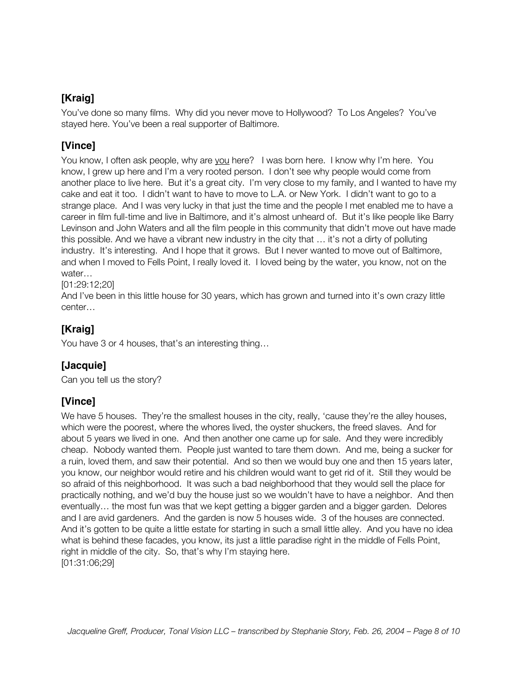# **[Kraig]**

You've done so many films. Why did you never move to Hollywood? To Los Angeles? You've stayed here. You've been a real supporter of Baltimore.

## **[Vince]**

You know, I often ask people, why are you here? I was born here. I know why I'm here. You know, I grew up here and I'm a very rooted person. I don't see why people would come from another place to live here. But it's a great city. I'm very close to my family, and I wanted to have my cake and eat it too. I didn't want to have to move to L.A. or New York. I didn't want to go to a strange place. And I was very lucky in that just the time and the people I met enabled me to have a career in film full-time and live in Baltimore, and it's almost unheard of. But it's like people like Barry Levinson and John Waters and all the film people in this community that didn't move out have made this possible. And we have a vibrant new industry in the city that … it's not a dirty of polluting industry. It's interesting. And I hope that it grows. But I never wanted to move out of Baltimore, and when I moved to Fells Point, I really loved it. I loved being by the water, you know, not on the water…

[01:29:12;20]

And I've been in this little house for 30 years, which has grown and turned into it's own crazy little center…

# **[Kraig]**

You have 3 or 4 houses, that's an interesting thing…

## **[Jacquie]**

Can you tell us the story?

## **[Vince]**

We have 5 houses. They're the smallest houses in the city, really, 'cause they're the alley houses, which were the poorest, where the whores lived, the oyster shuckers, the freed slaves. And for about 5 years we lived in one. And then another one came up for sale. And they were incredibly cheap. Nobody wanted them. People just wanted to tare them down. And me, being a sucker for a ruin, loved them, and saw their potential. And so then we would buy one and then 15 years later, you know, our neighbor would retire and his children would want to get rid of it. Still they would be so afraid of this neighborhood. It was such a bad neighborhood that they would sell the place for practically nothing, and we'd buy the house just so we wouldn't have to have a neighbor. And then eventually… the most fun was that we kept getting a bigger garden and a bigger garden. Delores and I are avid gardeners. And the garden is now 5 houses wide. 3 of the houses are connected. And it's gotten to be quite a little estate for starting in such a small little alley. And you have no idea what is behind these facades, you know, its just a little paradise right in the middle of Fells Point, right in middle of the city. So, that's why I'm staying here. [01:31:06;29]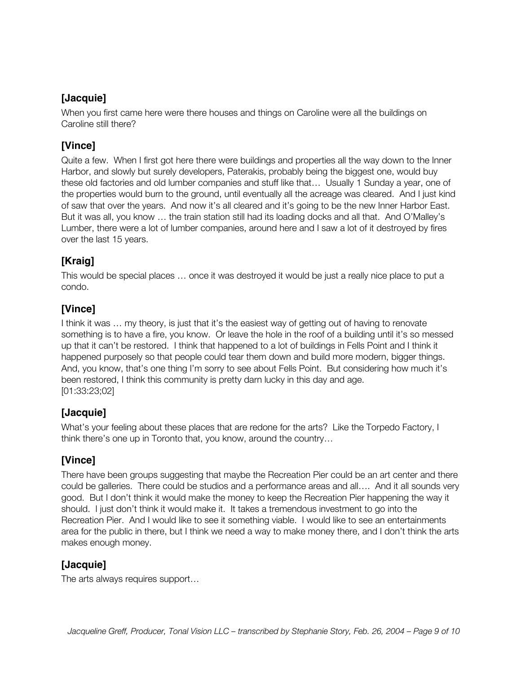## **[Jacquie]**

When you first came here were there houses and things on Caroline were all the buildings on Caroline still there?

## **[Vince]**

Quite a few. When I first got here there were buildings and properties all the way down to the Inner Harbor, and slowly but surely developers, Paterakis, probably being the biggest one, would buy these old factories and old lumber companies and stuff like that… Usually 1 Sunday a year, one of the properties would burn to the ground, until eventually all the acreage was cleared. And I just kind of saw that over the years. And now it's all cleared and it's going to be the new Inner Harbor East. But it was all, you know … the train station still had its loading docks and all that. And O'Malley's Lumber, there were a lot of lumber companies, around here and I saw a lot of it destroyed by fires over the last 15 years.

# **[Kraig]**

This would be special places … once it was destroyed it would be just a really nice place to put a condo.

# **[Vince]**

I think it was … my theory, is just that it's the easiest way of getting out of having to renovate something is to have a fire, you know. Or leave the hole in the roof of a building until it's so messed up that it can't be restored. I think that happened to a lot of buildings in Fells Point and I think it happened purposely so that people could tear them down and build more modern, bigger things. And, you know, that's one thing I'm sorry to see about Fells Point. But considering how much it's been restored, I think this community is pretty darn lucky in this day and age. [01:33:23;02]

## **[Jacquie]**

What's your feeling about these places that are redone for the arts? Like the Torpedo Factory, I think there's one up in Toronto that, you know, around the country…

# **[Vince]**

There have been groups suggesting that maybe the Recreation Pier could be an art center and there could be galleries. There could be studios and a performance areas and all…. And it all sounds very good. But I don't think it would make the money to keep the Recreation Pier happening the way it should. I just don't think it would make it. It takes a tremendous investment to go into the Recreation Pier. And I would like to see it something viable. I would like to see an entertainments area for the public in there, but I think we need a way to make money there, and I don't think the arts makes enough money.

# **[Jacquie]**

The arts always requires support…